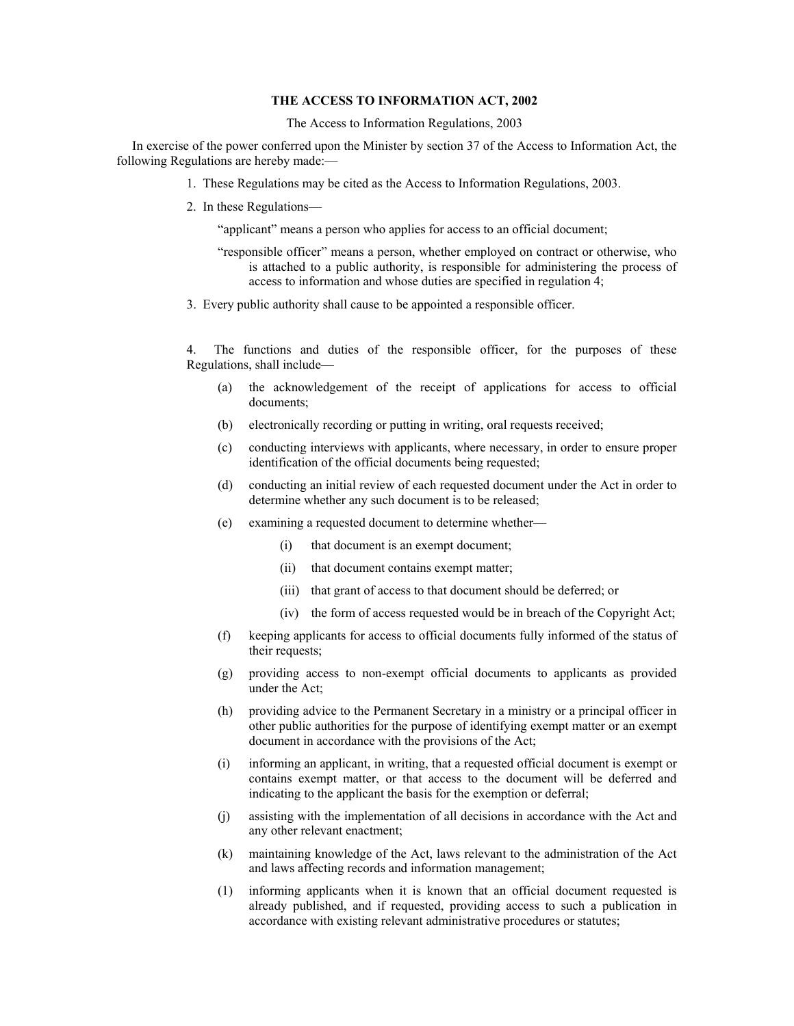## **THE ACCESS TO INFORMATION ACT, 2002**

The Access to Information Regulations, 2003

In exercise of the power conferred upon the Minister by section 37 of the Access to Information Act, the following Regulations are hereby made:—

- 1. These Regulations may be cited as the Access to Information Regulations, 2003.
- 2. In these Regulations—

"applicant" means a person who applies for access to an official document;

- "responsible officer" means a person, whether employed on contract or otherwise, who is attached to a public authority, is responsible for administering the process of access to information and whose duties are specified in regulation 4;
- 3. Every public authority shall cause to be appointed a responsible officer.

4. The functions and duties of the responsible officer, for the purposes of these Regulations, shall include—

- (a) the acknowledgement of the receipt of applications for access to official documents;
- (b) electronically recording or putting in writing, oral requests received;
- (c) conducting interviews with applicants, where necessary, in order to ensure proper identification of the official documents being requested;
- (d) conducting an initial review of each requested document under the Act in order to determine whether any such document is to be released;
- (e) examining a requested document to determine whether—
	- (i) that document is an exempt document;
	- (ii) that document contains exempt matter;
	- (iii) that grant of access to that document should be deferred; or
	- (iv) the form of access requested would be in breach of the Copyright Act;
- (f) keeping applicants for access to official documents fully informed of the status of their requests;
- (g) providing access to non-exempt official documents to applicants as provided under the Act;
- (h) providing advice to the Permanent Secretary in a ministry or a principal officer in other public authorities for the purpose of identifying exempt matter or an exempt document in accordance with the provisions of the Act;
- (i) informing an applicant, in writing, that a requested official document is exempt or contains exempt matter, or that access to the document will be deferred and indicating to the applicant the basis for the exemption or deferral;
- (j) assisting with the implementation of all decisions in accordance with the Act and any other relevant enactment;
- (k) maintaining knowledge of the Act, laws relevant to the administration of the Act and laws affecting records and information management;
- (1) informing applicants when it is known that an official document requested is already published, and if requested, providing access to such a publication in accordance with existing relevant administrative procedures or statutes;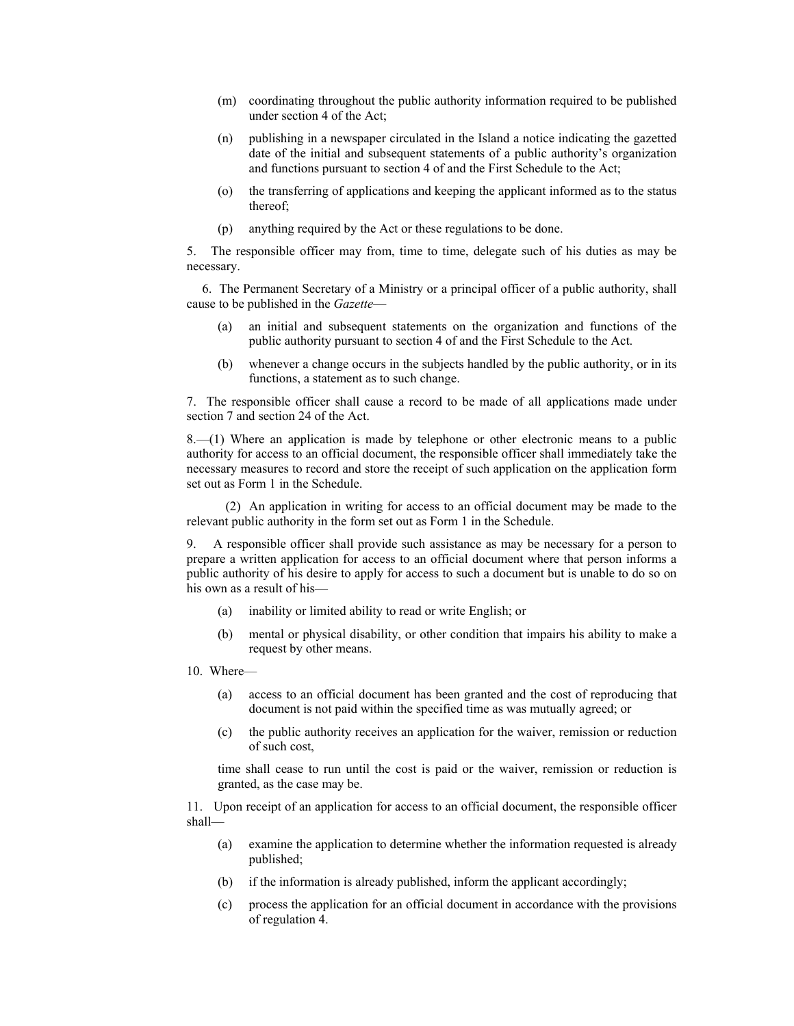- (m) coordinating throughout the public authority information required to be published under section 4 of the Act;
- (n) publishing in a newspaper circulated in the Island a notice indicating the gazetted date of the initial and subsequent statements of a public authority's organization and functions pursuant to section 4 of and the First Schedule to the Act;
- (o) the transferring of applications and keeping the applicant informed as to the status thereof;
- (p) anything required by the Act or these regulations to be done.

5. The responsible officer may from, time to time, delegate such of his duties as may be necessary.

6. The Permanent Secretary of a Ministry or a principal officer of a public authority, shall cause to be published in the *Gazette*—

- (a) an initial and subsequent statements on the organization and functions of the public authority pursuant to section 4 of and the First Schedule to the Act.
- (b) whenever a change occurs in the subjects handled by the public authority, or in its functions, a statement as to such change.

7. The responsible officer shall cause a record to be made of all applications made under section 7 and section 24 of the Act.

8.—(1) Where an application is made by telephone or other electronic means to a public authority for access to an official document, the responsible officer shall immediately take the necessary measures to record and store the receipt of such application on the application form set out as Form 1 in the Schedule.

(2) An application in writing for access to an official document may be made to the relevant public authority in the form set out as Form 1 in the Schedule.

9. A responsible officer shall provide such assistance as may be necessary for a person to prepare a written application for access to an official document where that person informs a public authority of his desire to apply for access to such a document but is unable to do so on his own as a result of his—

- (a) inability or limited ability to read or write English; or
- (b) mental or physical disability, or other condition that impairs his ability to make a request by other means.

10. Where—

- (a) access to an official document has been granted and the cost of reproducing that document is not paid within the specified time as was mutually agreed; or
- (c) the public authority receives an application for the waiver, remission or reduction of such cost,

time shall cease to run until the cost is paid or the waiver, remission or reduction is granted, as the case may be.

11. Upon receipt of an application for access to an official document, the responsible officer shall—

- (a) examine the application to determine whether the information requested is already published;
- (b) if the information is already published, inform the applicant accordingly;
- (c) process the application for an official document in accordance with the provisions of regulation 4.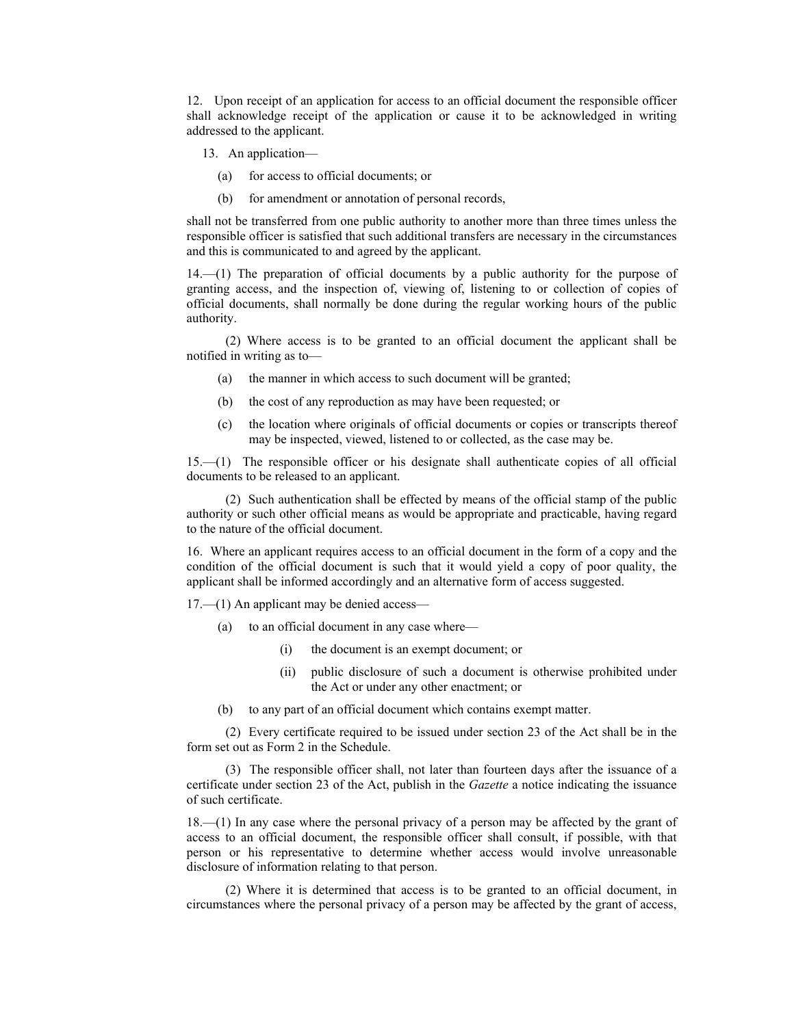12. Upon receipt of an application for access to an official document the responsible officer shall acknowledge receipt of the application or cause it to be acknowledged in writing addressed to the applicant.

- 13. An application—
	- (a) for access to official documents; or
	- (b) for amendment or annotation of personal records,

shall not be transferred from one public authority to another more than three times unless the responsible officer is satisfied that such additional transfers are necessary in the circumstances and this is communicated to and agreed by the applicant.

14.—(1) The preparation of official documents by a public authority for the purpose of granting access, and the inspection of, viewing of, listening to or collection of copies of official documents, shall normally be done during the regular working hours of the public authority.

(2) Where access is to be granted to an official document the applicant shall be notified in writing as to—

- (a) the manner in which access to such document will be granted;
- (b) the cost of any reproduction as may have been requested; or
- (c) the location where originals of official documents or copies or transcripts thereof may be inspected, viewed, listened to or collected, as the case may be.

15.—(1) The responsible officer or his designate shall authenticate copies of all official documents to be released to an applicant.

(2) Such authentication shall be effected by means of the official stamp of the public authority or such other official means as would be appropriate and practicable, having regard to the nature of the official document.

16. Where an applicant requires access to an official document in the form of a copy and the condition of the official document is such that it would yield a copy of poor quality, the applicant shall be informed accordingly and an alternative form of access suggested.

17.—(1) An applicant may be denied access—

- (a) to an official document in any case where—
	- (i) the document is an exempt document; or
	- (ii) public disclosure of such a document is otherwise prohibited under the Act or under any other enactment; or
- (b) to any part of an official document which contains exempt matter.

(2) Every certificate required to be issued under section 23 of the Act shall be in the form set out as Form 2 in the Schedule.

(3) The responsible officer shall, not later than fourteen days after the issuance of a certificate under section 23 of the Act, publish in the *Gazette* a notice indicating the issuance of such certificate.

18.—(1) In any case where the personal privacy of a person may be affected by the grant of access to an official document, the responsible officer shall consult, if possible, with that person or his representative to determine whether access would involve unreasonable disclosure of information relating to that person.

(2) Where it is determined that access is to be granted to an official document, in circumstances where the personal privacy of a person may be affected by the grant of access,